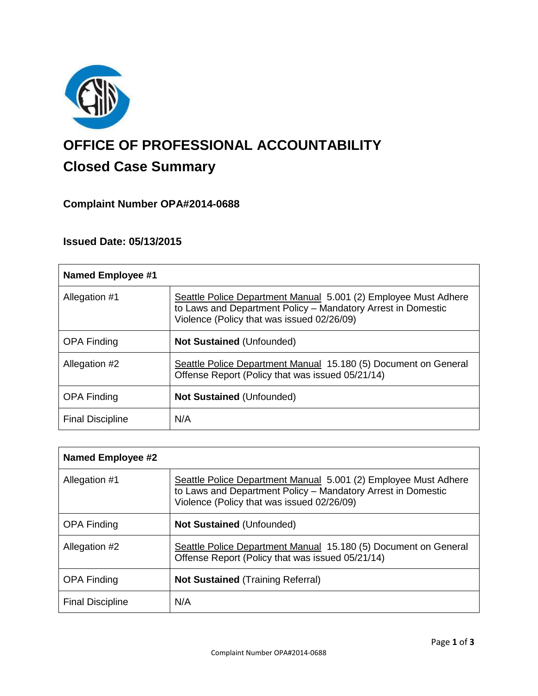

# **OFFICE OF PROFESSIONAL ACCOUNTABILITY Closed Case Summary**

# **Complaint Number OPA#2014-0688**

# **Issued Date: 05/13/2015**

| <b>Named Employee #1</b> |                                                                                                                                                                               |
|--------------------------|-------------------------------------------------------------------------------------------------------------------------------------------------------------------------------|
| Allegation #1            | Seattle Police Department Manual 5.001 (2) Employee Must Adhere<br>to Laws and Department Policy - Mandatory Arrest in Domestic<br>Violence (Policy that was issued 02/26/09) |
| <b>OPA Finding</b>       | <b>Not Sustained (Unfounded)</b>                                                                                                                                              |
| Allegation #2            | Seattle Police Department Manual 15.180 (5) Document on General<br>Offense Report (Policy that was issued 05/21/14)                                                           |
| <b>OPA Finding</b>       | <b>Not Sustained (Unfounded)</b>                                                                                                                                              |
| <b>Final Discipline</b>  | N/A                                                                                                                                                                           |

| <b>Named Employee #2</b> |                                                                                                                                                                               |
|--------------------------|-------------------------------------------------------------------------------------------------------------------------------------------------------------------------------|
| Allegation #1            | Seattle Police Department Manual 5.001 (2) Employee Must Adhere<br>to Laws and Department Policy - Mandatory Arrest in Domestic<br>Violence (Policy that was issued 02/26/09) |
| <b>OPA Finding</b>       | <b>Not Sustained (Unfounded)</b>                                                                                                                                              |
| Allegation #2            | Seattle Police Department Manual 15.180 (5) Document on General<br>Offense Report (Policy that was issued 05/21/14)                                                           |
| <b>OPA Finding</b>       | <b>Not Sustained (Training Referral)</b>                                                                                                                                      |
| <b>Final Discipline</b>  | N/A                                                                                                                                                                           |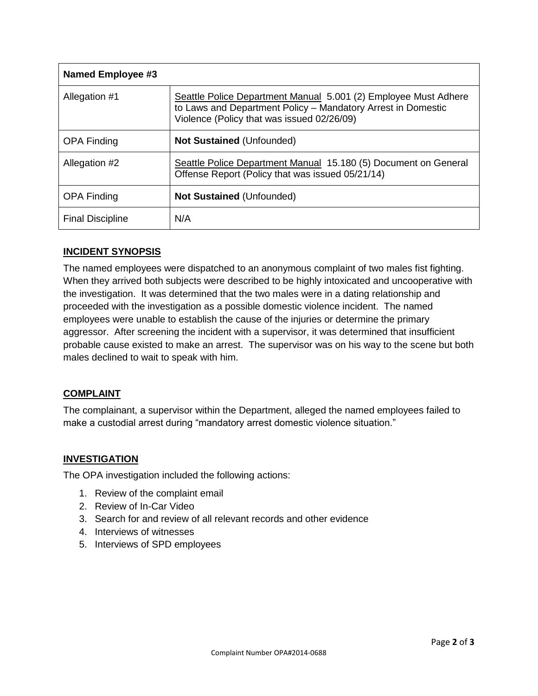| <b>Named Employee #3</b> |                                                                                                                                                                               |
|--------------------------|-------------------------------------------------------------------------------------------------------------------------------------------------------------------------------|
| Allegation #1            | Seattle Police Department Manual 5.001 (2) Employee Must Adhere<br>to Laws and Department Policy - Mandatory Arrest in Domestic<br>Violence (Policy that was issued 02/26/09) |
| <b>OPA Finding</b>       | <b>Not Sustained (Unfounded)</b>                                                                                                                                              |
| Allegation #2            | Seattle Police Department Manual 15.180 (5) Document on General<br>Offense Report (Policy that was issued 05/21/14)                                                           |
| <b>OPA Finding</b>       | <b>Not Sustained (Unfounded)</b>                                                                                                                                              |
| <b>Final Discipline</b>  | N/A                                                                                                                                                                           |

# **INCIDENT SYNOPSIS**

The named employees were dispatched to an anonymous complaint of two males fist fighting. When they arrived both subjects were described to be highly intoxicated and uncooperative with the investigation. It was determined that the two males were in a dating relationship and proceeded with the investigation as a possible domestic violence incident. The named employees were unable to establish the cause of the injuries or determine the primary aggressor. After screening the incident with a supervisor, it was determined that insufficient probable cause existed to make an arrest. The supervisor was on his way to the scene but both males declined to wait to speak with him.

# **COMPLAINT**

The complainant, a supervisor within the Department, alleged the named employees failed to make a custodial arrest during "mandatory arrest domestic violence situation."

# **INVESTIGATION**

The OPA investigation included the following actions:

- 1. Review of the complaint email
- 2. Review of In-Car Video
- 3. Search for and review of all relevant records and other evidence
- 4. Interviews of witnesses
- 5. Interviews of SPD employees